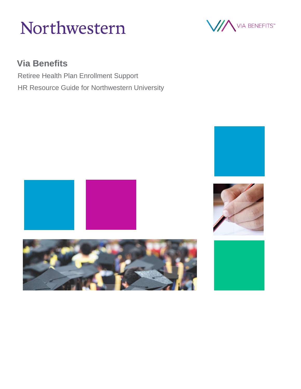



## **Via Benefits**

Retiree Health Plan Enrollment Support HR Resource Guide for Northwestern University









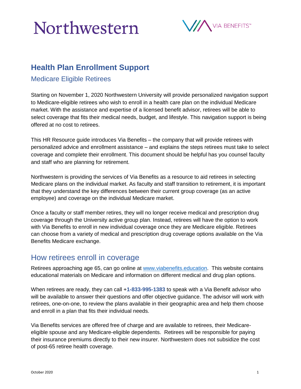## Northwestern



## **Health Plan Enrollment Support**

Medicare Eligible Retirees

Starting on November 1, 2020 Northwestern University will provide personalized navigation support to Medicare-eligible retirees who wish to enroll in a health care plan on the individual Medicare market. With the assistance and expertise of a licensed benefit advisor, retirees will be able to select coverage that fits their medical needs, budget, and lifestyle. This navigation support is being offered at no cost to retirees.

This HR Resource guide introduces Via Benefits – the company that will provide retirees with personalized advice and enrollment assistance – and explains the steps retirees must take to select coverage and complete their enrollment. This document should be helpful has you counsel faculty and staff who are planning for retirement.

Northwestern is providing the services of Via Benefits as a resource to aid retirees in selecting Medicare plans on the individual market. As faculty and staff transition to retirement, it is important that they understand the key differences between their current group coverage (as an active employee) and coverage on the individual Medicare market.

Once a faculty or staff member retires, they will no longer receive medical and prescription drug coverage through the University active group plan. Instead, retirees will have the option to work with Via Benefits to enroll in new individual coverage once they are Medicare eligible. Retirees can choose from a variety of medical and prescription drug coverage options available on the Via Benefits Medicare exchange.

### How retirees enroll in coverage

Retirees approaching age 65, can go online at [www.viabenefits.education.](http://www.viabenefits.education/) This website contains educational materials on Medicare and information on different medical and drug plan options.

When retirees are ready, they can call +**1-833-995-1383** to speak with a Via Benefit advisor who will be available to answer their questions and offer objective guidance. The advisor will work with retirees, one-on-one, to review the plans available in their geographic area and help them choose and enroll in a plan that fits their individual needs.

Via Benefits services are offered free of charge and are available to retirees, their Medicareeligible spouse and any Medicare-eligible dependents. Retirees will be responsible for paying their insurance premiums directly to their new insurer. Northwestern does not subsidize the cost of post-65 retiree health coverage.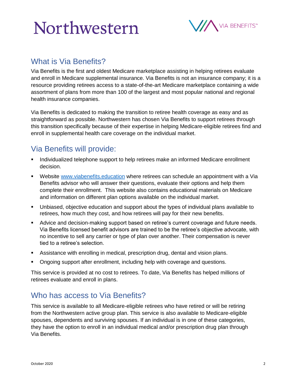# Northwestern



### What is Via Benefits?

Via Benefits is the first and oldest Medicare marketplace assisting in helping retirees evaluate and enroll in Medicare supplemental insurance. Via Benefits is not an insurance company; it is a resource providing retirees access to a state-of-the-art Medicare marketplace containing a wide assortment of plans from more than 100 of the largest and most popular national and regional health insurance companies.

Via Benefits is dedicated to making the transition to retiree health coverage as easy and as straightforward as possible. Northwestern has chosen Via Benefits to support retirees through this transition specifically because of their expertise in helping Medicare-eligible retirees find and enroll in supplemental health care coverage on the individual market.

### Via Benefits will provide:

- **Individualized telephone support to help retirees make an informed Medicare enrollment** decision.
- Website [www.viabenefits.education](http://www.viabenefits.education/) where retirees can schedule an appointment with a Via Benefits advisor who will answer their questions, evaluate their options and help them complete their enrollment. This website also contains educational materials on Medicare and information on different plan options available on the individual market.
- Unbiased, objective education and support about the types of individual plans available to retirees, how much they cost, and how retirees will pay for their new benefits.
- Advice and decision-making support based on retiree's current coverage and future needs. Via Benefits licensed benefit advisors are trained to be the retiree's objective advocate, with no incentive to sell any carrier or type of plan over another. Their compensation is never tied to a retiree's selection.
- Assistance with enrolling in medical, prescription drug, dental and vision plans.
- Ongoing support after enrollment, including help with coverage and questions.

This service is provided at no cost to retirees. To date, Via Benefits has helped millions of retirees evaluate and enroll in plans.

### Who has access to Via Benefits?

This service is available to all Medicare-eligible retirees who have retired or will be retiring from the Northwestern active group plan. This service is also available to Medicare-eligible spouses, dependents and surviving spouses. If an individual is in one of these categories, they have the option to enroll in an individual medical and/or prescription drug plan through Via Benefits.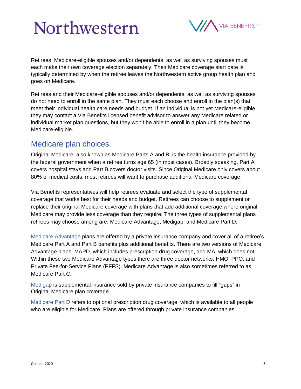# Northwestern



Retirees, Medicare-eligible spouses and/or dependents, as well as surviving spouses must each make their own coverage election separately. Their Medicare coverage start date is typically determined by when the retiree leaves the Northwestern active group health plan and goes on Medicare.

Retirees and their Medicare-eligible spouses and/or dependents, as well as surviving spouses do not need to enroll in the same plan. They must each choose and enroll in the plan(s) that meet their individual health care needs and budget. If an individual is not yet Medicare-eligible, they may contact a Via Benefits licensed benefit advisor to answer any Medicare related or individual market plan questions, but they won't be able to enroll in a plan until they become Medicare-eligible.

### Medicare plan choices

Original Medicare, also known as Medicare Parts A and B, is the health insurance provided by the federal government when a retiree turns age 65 (in most cases). Broadly speaking, Part A covers hospital stays and Part B covers doctor visits. Since Original Medicare only covers about 80% of medical costs, most retirees will want to purchase additional Medicare coverage.

Via Benefits representatives will help retirees evaluate and select the type of supplemental coverage that works best for their needs and budget. Retirees can choose to supplement or replace their original Medicare coverage with plans that add additional coverage where original Medicare may provide less coverage than they require. The three types of supplemental plans retirees may choose among are: Medicare Advantage, Medigap, and Medicare Part D.

Medicare Advantage plans are offered by a private insurance company and cover all of a retiree's Medicare Part A and Part B benefits plus additional benefits. There are two versions of Medicare Advantage plans: MAPD, which includes prescription drug coverage, and MA, which does not. Within these two Medicare Advantage types there are three doctor networks: HMO, PPO, and Private Fee-for-Service Plans (PFFS). Medicare Advantage is also sometimes referred to as Medicare Part C.

Medigap is supplemental insurance sold by private insurance companies to fill "gaps" in Original Medicare plan coverage.

Medicare Part D refers to optional prescription drug coverage, which is available to all people who are eligible for Medicare. Plans are offered through private insurance companies.